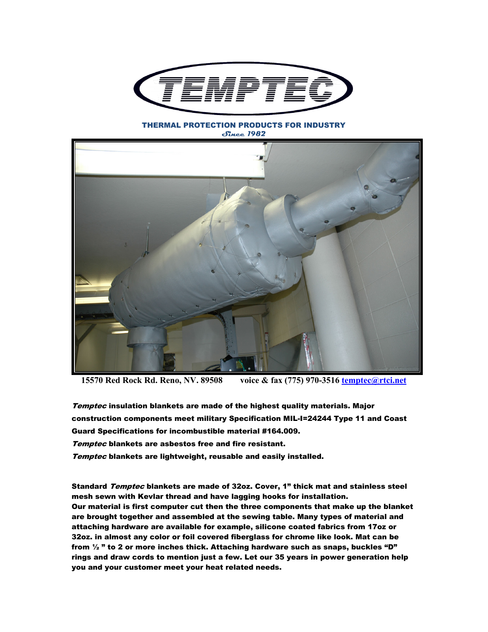

THERMAL PROTECTION PRODUCTS FOR INDUSTRY **Since 1982** 



**15570 Red Rock Rd. Reno, NV. 89508 voice & fax (775) 970-3516 temptec@rtci.net**

Temptec insulation blankets are made of the highest quality materials. Major construction components meet military Specification MIL-I=24244 Type 11 and Coast Guard Specifications for incombustible material #164.009. Temptec blankets are asbestos free and fire resistant. Temptec blankets are lightweight, reusable and easily installed.

Standard *Temptec* blankets are made of 32oz. Cover, 1" thick mat and stainless steel mesh sewn with Kevlar thread and have lagging hooks for installation. Our material is first computer cut then the three components that make up the blanket are brought together and assembled at the sewing table. Many types of material and attaching hardware are available for example, silicone coated fabrics from 17oz or 32oz. in almost any color or foil covered fiberglass for chrome like look. Mat can be from  $\frac{1}{2}$  " to 2 or more inches thick. Attaching hardware such as snaps, buckles "D" rings and draw cords to mention just a few. Let our 35 years in power generation help you and your customer meet your heat related needs.